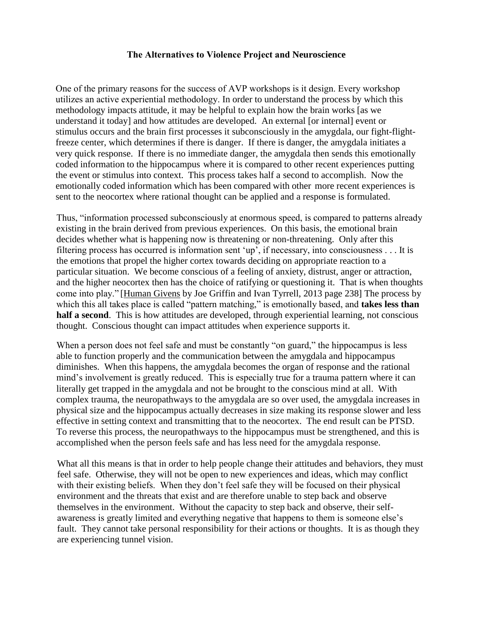## **The Alternatives to Violence Project and Neuroscience**

One of the primary reasons for the success of AVP workshops is it design. Every workshop utilizes an active experiential methodology. In order to understand the process by which this methodology impacts attitude, it may be helpful to explain how the brain works [as we understand it today] and how attitudes are developed. An external [or internal] event or stimulus occurs and the brain first processes it subconsciously in the amygdala, our fight-flightfreeze center, which determines if there is danger. If there is danger, the amygdala initiates a very quick response. If there is no immediate danger, the amygdala then sends this emotionally coded information to the hippocampus where it is compared to other recent experiences putting the event or stimulus into context. This process takes half a second to accomplish. Now the emotionally coded information which has been compared with other more recent experiences is sent to the neocortex where rational thought can be applied and a response is formulated.

Thus, "information processed subconsciously at enormous speed, is compared to patterns already existing in the brain derived from previous experiences. On this basis, the emotional brain decides whether what is happening now is threatening or non-threatening. Only after this filtering process has occurred is information sent 'up', if necessary, into consciousness . . . It is the emotions that propel the higher cortex towards deciding on appropriate reaction to a particular situation. We become conscious of a feeling of anxiety, distrust, anger or attraction, and the higher neocortex then has the choice of ratifying or questioning it. That is when thoughts come into play." [Human Givens by Joe Griffin and Ivan Tyrrell, 2013 page 238] The process by which this all takes place is called "pattern matching," is emotionally based, and **takes less than half a second**. This is how attitudes are developed, through experiential learning, not conscious thought. Conscious thought can impact attitudes when experience supports it.

When a person does not feel safe and must be constantly "on guard," the hippocampus is less able to function properly and the communication between the amygdala and hippocampus diminishes. When this happens, the amygdala becomes the organ of response and the rational mind's involvement is greatly reduced. This is especially true for a trauma pattern where it can literally get trapped in the amygdala and not be brought to the conscious mind at all. With complex trauma, the neuropathways to the amygdala are so over used, the amygdala increases in physical size and the hippocampus actually decreases in size making its response slower and less effective in setting context and transmitting that to the neocortex. The end result can be PTSD. To reverse this process, the neuropathways to the hippocampus must be strengthened, and this is accomplished when the person feels safe and has less need for the amygdala response.

What all this means is that in order to help people change their attitudes and behaviors, they must feel safe. Otherwise, they will not be open to new experiences and ideas, which may conflict with their existing beliefs. When they don't feel safe they will be focused on their physical environment and the threats that exist and are therefore unable to step back and observe themselves in the environment. Without the capacity to step back and observe, their selfawareness is greatly limited and everything negative that happens to them is someone else's fault. They cannot take personal responsibility for their actions or thoughts. It is as though they are experiencing tunnel vision.